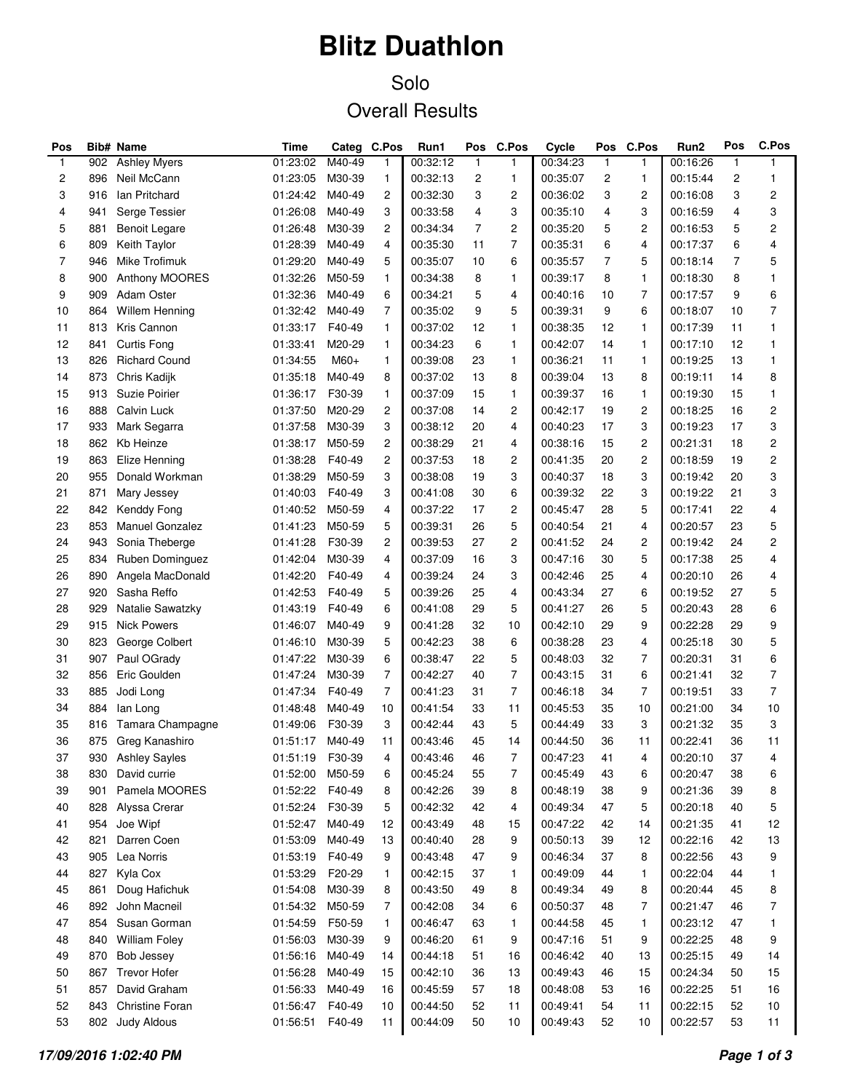# **Blitz Duathlon**

### Solo Overall Results

| Pos          |     | Bib# Name             | Time            |        | Categ C.Pos    | Run1     | Pos          | C.Pos          | Cycle    | Pos          | <b>C.Pos</b>   | Run2     | Pos          | C.Pos             |
|--------------|-----|-----------------------|-----------------|--------|----------------|----------|--------------|----------------|----------|--------------|----------------|----------|--------------|-------------------|
| $\mathbf{1}$ | 902 | <b>Ashley Myers</b>   | 01:23:02        | M40-49 | 1              | 00:32:12 | $\mathbf{1}$ | 1              | 00:34:23 | $\mathbf{1}$ | 1              | 00:16:26 | $\mathbf{1}$ | $\mathbf{1}$      |
| 2            | 896 | Neil McCann           | 01:23:05        | M30-39 | 1              | 00:32:13 | 2            | 1              | 00:35:07 | 2            | 1              | 00:15:44 | 2            | 1                 |
| 3            | 916 | Ian Pritchard         | 01:24:42        | M40-49 | $\overline{c}$ | 00:32:30 | 3            | 2              | 00:36:02 | 3            | 2              | 00:16:08 | 3            | 2                 |
| 4            | 941 | Serge Tessier         | 01:26:08        | M40-49 | 3              | 00:33:58 | 4            | 3              | 00:35:10 | 4            | 3              | 00:16:59 | 4            | 3                 |
| 5            | 881 | <b>Benoit Legare</b>  | 01:26:48        | M30-39 | $\overline{c}$ | 00:34:34 | 7            | 2              | 00:35:20 | 5            | 2              | 00:16:53 | 5            | $\overline{c}$    |
| 6            | 809 | Keith Taylor          | 01:28:39        | M40-49 | 4              | 00:35:30 | 11           | $\overline{7}$ | 00:35:31 | 6            | 4              | 00:17:37 | 6            | 4                 |
| 7            | 946 | Mike Trofimuk         | 01:29:20        | M40-49 | 5              | 00:35:07 | 10           | 6              | 00:35:57 | 7            | 5              | 00:18:14 | 7            | 5                 |
| 8            | 900 | Anthony MOORES        | 01:32:26        | M50-59 | $\mathbf{1}$   | 00:34:38 | 8            | 1              | 00:39:17 | 8            | 1              | 00:18:30 | 8            | 1                 |
| 9            | 909 | Adam Oster            | 01:32:36        | M40-49 | 6              | 00:34:21 | 5            | 4              | 00:40:16 | 10           | $\overline{7}$ | 00:17:57 | 9            | 6                 |
| 10           | 864 | <b>Willem Henning</b> | 01:32:42        | M40-49 | $\overline{7}$ | 00:35:02 | 9            | 5              | 00:39:31 | 9            | 6              | 00:18:07 | 10           | 7                 |
| 11           | 813 | Kris Cannon           | 01:33:17        | F40-49 | $\mathbf{1}$   | 00:37:02 | 12           | 1              | 00:38:35 | 12           | 1              | 00:17:39 | 11           | 1                 |
| 12           | 841 | <b>Curtis Fong</b>    | 01:33:41        | M20-29 | $\mathbf{1}$   | 00:34:23 | 6            | 1              | 00:42:07 | 14           | 1              | 00:17:10 | 12           | 1                 |
| 13           | 826 | <b>Richard Cound</b>  | 01:34:55        | M60+   | $\mathbf{1}$   | 00:39:08 | 23           | 1              | 00:36:21 | 11           | 1              | 00:19:25 | 13           | 1                 |
| 14           | 873 | Chris Kadijk          | 01:35:18        | M40-49 | 8              | 00:37:02 | 13           | 8              | 00:39:04 | 13           | 8              | 00:19:11 | 14           | 8                 |
| 15           | 913 | Suzie Poirier         | 01:36:17        | F30-39 | $\mathbf{1}$   | 00:37:09 | 15           | 1              | 00:39:37 | 16           | 1              | 00:19:30 | 15           | 1                 |
| 16           | 888 | Calvin Luck           | 01:37:50        | M20-29 | $\overline{c}$ | 00:37:08 | 14           | 2              | 00:42:17 | 19           | 2              | 00:18:25 | 16           | $\overline{c}$    |
| 17           | 933 | Mark Segarra          | 01:37:58        | M30-39 | 3              | 00:38:12 | 20           | 4              | 00:40:23 | 17           | 3              | 00:19:23 | 17           | 3                 |
| 18           | 862 | Kb Heinze             | 01:38:17        | M50-59 | $\overline{c}$ | 00:38:29 | 21           | 4              | 00:38:16 | 15           | 2              | 00:21:31 | 18           | $\overline{c}$    |
| 19           | 863 | Elize Henning         | 01:38:28        | F40-49 | $\overline{c}$ | 00:37:53 | 18           | 2              | 00:41:35 | 20           | 2              | 00:18:59 | 19           | $\overline{c}$    |
| 20           | 955 | Donald Workman        | 01:38:29        | M50-59 | 3              | 00:38:08 | 19           | 3              | 00:40:37 | 18           | 3              | 00:19:42 | 20           | 3                 |
| 21           | 871 | Mary Jessey           | 01:40:03        | F40-49 | 3              | 00:41:08 | 30           | 6              | 00:39:32 | 22           | 3              | 00:19:22 | 21           | 3                 |
| 22           | 842 | Kenddy Fong           | 01:40:52        | M50-59 | 4              | 00:37:22 | 17           | 2              | 00:45:47 | 28           | 5              | 00:17:41 | 22           | 4                 |
| 23           | 853 | Manuel Gonzalez       | 01:41:23        | M50-59 | 5              | 00:39:31 | 26           | 5              | 00:40:54 | 21           | 4              | 00:20:57 | 23           | 5                 |
| 24           | 943 | Sonia Theberge        | 01:41:28        | F30-39 | $\overline{c}$ | 00:39:53 | 27           | 2              | 00:41:52 | 24           | 2              | 00:19:42 | 24           | $\overline{c}$    |
| 25           | 834 | Ruben Dominguez       | 01:42:04        | M30-39 | 4              | 00:37:09 | 16           | 3              | 00:47:16 | 30           | 5              | 00:17:38 | 25           | 4                 |
| 26           | 890 | Angela MacDonald      | 01:42:20        | F40-49 | 4              | 00:39:24 | 24           | 3              | 00:42:46 | 25           | 4              | 00:20:10 | 26           | 4                 |
| 27           | 920 | Sasha Reffo           | 01:42:53        | F40-49 | 5              | 00:39:26 | 25           | 4              | 00:43:34 | 27           | 6              | 00:19:52 | 27           | 5                 |
| 28           | 929 | Natalie Sawatzky      | 01:43:19        | F40-49 | 6              | 00:41:08 | 29           | 5              | 00:41:27 | 26           | 5              | 00:20:43 | 28           | 6                 |
| 29           | 915 | <b>Nick Powers</b>    | 01:46:07        | M40-49 | 9              | 00:41:28 | 32           | 10             | 00:42:10 | 29           | 9              | 00:22:28 | 29           | 9                 |
| 30           | 823 | George Colbert        | 01:46:10        | M30-39 | 5              | 00:42:23 | 38           | 6              | 00:38:28 | 23           | 4              | 00:25:18 | 30           | 5                 |
| 31           | 907 | Paul OGrady           | 01:47:22        | M30-39 | 6              | 00:38:47 | 22           | 5              | 00:48:03 | 32           | 7              | 00:20:31 | 31           | 6                 |
| 32           | 856 | Eric Goulden          | 01:47:24        | M30-39 | $\overline{7}$ | 00:42:27 | 40           | $\overline{7}$ | 00:43:15 | 31           | 6              | 00:21:41 | 32           | $\overline{7}$    |
| 33           | 885 | Jodi Long             | 01:47:34        | F40-49 | $\overline{7}$ | 00:41:23 | 31           | 7              | 00:46:18 | 34           | 7              | 00:19:51 | 33           | $\overline{7}$    |
| 34           | 884 | lan Long              | 01:48:48        | M40-49 | 10             | 00:41:54 | 33           | 11             | 00:45:53 | 35           | 10             | 00:21:00 | 34           | 10                |
| 35           | 816 | Tamara Champagne      | 01:49:06        | F30-39 | 3              | 00:42:44 | 43           | 5              | 00:44:49 | 33           | 3              | 00:21:32 | 35           | 3                 |
| 36           | 875 | Greg Kanashiro        | 01:51:17        | M40-49 | 11             | 00:43:46 | 45           | 14             | 00:44:50 | 36           | 11             | 00:22:41 | 36           | 11                |
| 37           |     | 930 Ashley Sayles     | 01:51:19 F30-39 |        | 4              | 00:43:46 | 46           | $\overline{7}$ | 00:47:23 | 41           |                | 00:20:10 | 37           | $\mathbf{\Delta}$ |
| 38           |     | David currie          | 01:52:00 M50-59 |        |                | 00:45:24 |              |                | 00:45:49 |              | 4              | 00:20:47 |              |                   |
| 39           | 830 | Pamela MOORES         | 01:52:22        | F40-49 | 6              | 00:42:26 | 55           | 7              | 00:48:19 | 43<br>38     | 6              | 00:21:36 | 38<br>39     | 6                 |
|              | 901 |                       |                 |        | 8              |          | 39           | 8              |          |              | 9              |          |              | 8                 |
| 40           | 828 | Alyssa Crerar         | 01:52:24        | F30-39 | 5              | 00:42:32 | 42           | 4              | 00:49:34 | 47           | 5              | 00:20:18 | 40           | 5                 |
| 41           | 954 | Joe Wipf              | 01:52:47        | M40-49 | 12             | 00:43:49 | 48           | 15             | 00:47:22 | 42           | 14             | 00:21:35 | 41           | 12                |
| 42           | 821 | Darren Coen           | 01:53:09        | M40-49 | 13             | 00:40:40 | 28           | 9              | 00:50:13 | 39           | 12             | 00:22:16 | 42           | 13                |
| 43           | 905 | Lea Norris            | 01:53:19        | F40-49 | 9              | 00:43:48 | 47           | 9              | 00:46:34 | 37           | 8              | 00:22:56 | 43           | 9                 |
| 44           | 827 | Kyla Cox              | 01:53:29        | F20-29 | $\mathbf{1}$   | 00:42:15 | 37           | 1              | 00:49:09 | 44           | 1              | 00:22:04 | 44           | 1                 |
| 45           | 861 | Doug Hafichuk         | 01:54:08        | M30-39 | 8              | 00:43:50 | 49           | 8              | 00:49:34 | 49           | 8              | 00:20:44 | 45           | 8                 |
| 46           | 892 | John Macneil          | 01:54:32        | M50-59 | $\overline{7}$ | 00:42:08 | 34           | 6              | 00:50:37 | 48           | 7              | 00:21:47 | 46           | 7                 |
| 47           | 854 | Susan Gorman          | 01:54:59        | F50-59 | 1              | 00:46:47 | 63           | 1              | 00:44:58 | 45           | 1              | 00:23:12 | 47           | 1                 |
| 48           | 840 | <b>William Foley</b>  | 01:56:03        | M30-39 | 9              | 00:46:20 | 61           | 9              | 00:47:16 | 51           | 9              | 00:22:25 | 48           | 9                 |
| 49           | 870 | Bob Jessey            | 01:56:16        | M40-49 | 14             | 00:44:18 | 51           | 16             | 00:46:42 | 40           | 13             | 00:25:15 | 49           | 14                |
| 50           | 867 | <b>Trevor Hofer</b>   | 01:56:28        | M40-49 | 15             | 00:42:10 | 36           | 13             | 00:49:43 | 46           | 15             | 00:24:34 | 50           | 15                |
| 51           | 857 | David Graham          | 01:56:33        | M40-49 | 16             | 00:45:59 | 57           | 18             | 00:48:08 | 53           | 16             | 00:22:25 | 51           | 16                |
| 52           | 843 | Christine Foran       | 01:56:47        | F40-49 | 10             | 00:44:50 | 52           | 11             | 00:49:41 | 54           | 11             | 00:22:15 | 52           | 10                |
| 53           |     | 802 Judy Aldous       | 01:56:51        | F40-49 | 11             | 00:44:09 | 50           | 10             | 00:49:43 | 52           | 10             | 00:22:57 | 53           | 11                |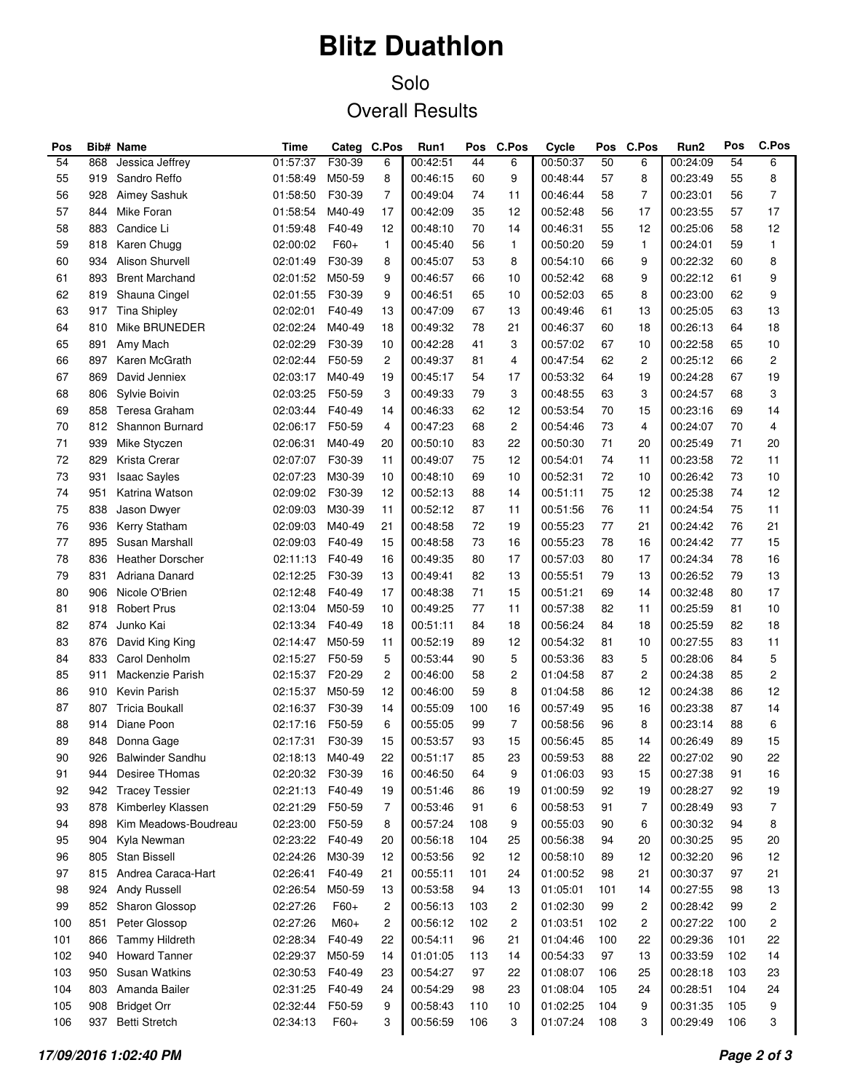# **Blitz Duathlon**

### Solo Overall Results

| Pos             |     | <b>Bib# Name</b>        | Time            |        | Categ C.Pos             | Run1     | Pos | C.Pos          | Cycle    | Pos | C.Pos          | Run2     | Pos | C.Pos |
|-----------------|-----|-------------------------|-----------------|--------|-------------------------|----------|-----|----------------|----------|-----|----------------|----------|-----|-------|
| $\overline{54}$ | 868 | Jessica Jeffrey         | 01:57:37        | F30-39 | 6                       | 00:42:51 | 44  | 6              | 00:50:37 | 50  | 6              | 00:24:09 | 54  | 6     |
| 55              | 919 | Sandro Reffo            | 01:58:49        | M50-59 | 8                       | 00:46:15 | 60  | 9              | 00:48:44 | 57  | 8              | 00:23:49 | 55  | 8     |
| 56              | 928 | Aimey Sashuk            | 01:58:50        | F30-39 | $\overline{7}$          | 00:49:04 | 74  | 11             | 00:46:44 | 58  | 7              | 00:23:01 | 56  | 7     |
| 57              | 844 | Mike Foran              | 01:58:54        | M40-49 | 17                      | 00:42:09 | 35  | 12             | 00:52:48 | 56  | 17             | 00:23:55 | 57  | 17    |
| 58              | 883 | Candice Li              | 01:59:48        | F40-49 | 12                      | 00:48:10 | 70  | 14             | 00:46:31 | 55  | 12             | 00:25:06 | 58  | 12    |
| 59              | 818 | Karen Chugg             | 02:00:02        | F60+   | $\mathbf{1}$            | 00:45:40 | 56  | 1              | 00:50:20 | 59  | $\mathbf{1}$   | 00:24:01 | 59  | 1     |
| 60              | 934 | Alison Shurvell         | 02:01:49        | F30-39 | 8                       | 00:45:07 | 53  | 8              | 00:54:10 | 66  | 9              | 00:22:32 | 60  | 8     |
| 61              | 893 | <b>Brent Marchand</b>   | 02:01:52        | M50-59 | 9                       | 00:46:57 | 66  | 10             | 00:52:42 | 68  | 9              | 00:22:12 | 61  | 9     |
| 62              | 819 | Shauna Cingel           | 02:01:55        | F30-39 | 9                       | 00:46:51 | 65  | 10             | 00:52:03 | 65  | 8              | 00:23:00 | 62  | 9     |
| 63              | 917 | <b>Tina Shipley</b>     | 02:02:01        | F40-49 | 13                      | 00:47:09 | 67  | 13             | 00:49:46 | 61  | 13             | 00:25:05 | 63  | 13    |
| 64              | 810 | Mike BRUNEDER           | 02:02:24        | M40-49 | 18                      | 00:49:32 | 78  | 21             | 00:46:37 | 60  | 18             | 00:26:13 | 64  | 18    |
| 65              | 891 | Amy Mach                | 02:02:29        | F30-39 | 10                      | 00:42:28 | 41  | 3              | 00:57:02 | 67  | 10             | 00:22:58 | 65  | 10    |
| 66              | 897 | Karen McGrath           | 02:02:44        | F50-59 | $\overline{c}$          | 00:49:37 | 81  | 4              | 00:47:54 | 62  | $\overline{c}$ | 00:25:12 | 66  | 2     |
| 67              | 869 | David Jenniex           | 02:03:17        | M40-49 | 19                      | 00:45:17 | 54  | 17             | 00:53:32 | 64  | 19             | 00:24:28 | 67  | 19    |
| 68              | 806 | Sylvie Boivin           | 02:03:25        | F50-59 | 3                       | 00:49:33 | 79  | 3              | 00:48:55 | 63  | 3              | 00:24:57 | 68  | 3     |
| 69              | 858 | Teresa Graham           | 02:03:44        | F40-49 | 14                      | 00:46:33 | 62  | 12             | 00:53:54 | 70  | 15             | 00:23:16 | 69  | 14    |
| 70              | 812 | Shannon Burnard         | 02:06:17        | F50-59 | 4                       | 00:47:23 | 68  | $\mathbf{2}$   | 00:54:46 | 73  | 4              | 00:24:07 | 70  | 4     |
| 71              | 939 | Mike Styczen            | 02:06:31        | M40-49 | 20                      | 00:50:10 | 83  | 22             | 00:50:30 | 71  | 20             | 00:25:49 | 71  | 20    |
| 72              |     |                         |                 |        |                         |          | 75  | 12             |          |     |                |          |     | 11    |
|                 | 829 | Krista Crerar           | 02:07:07        | F30-39 | 11                      | 00:49:07 |     |                | 00:54:01 | 74  | 11             | 00:23:58 | 72  |       |
| 73              | 931 | <b>Isaac Sayles</b>     | 02:07:23        | M30-39 | 10                      | 00:48:10 | 69  | 10             | 00:52:31 | 72  | 10             | 00:26:42 | 73  | 10    |
| 74              | 951 | Katrina Watson          | 02:09:02        | F30-39 | 12                      | 00:52:13 | 88  | 14             | 00:51:11 | 75  | 12             | 00:25:38 | 74  | 12    |
| 75              | 838 | Jason Dwyer             | 02:09:03        | M30-39 | 11                      | 00:52:12 | 87  | 11             | 00:51:56 | 76  | 11             | 00:24:54 | 75  | 11    |
| 76              | 936 | Kerry Statham           | 02:09:03        | M40-49 | 21                      | 00:48:58 | 72  | 19             | 00:55:23 | 77  | 21             | 00:24:42 | 76  | 21    |
| 77              | 895 | Susan Marshall          | 02:09:03        | F40-49 | 15                      | 00:48:58 | 73  | 16             | 00:55:23 | 78  | 16             | 00:24:42 | 77  | 15    |
| 78              | 836 | <b>Heather Dorscher</b> | 02:11:13        | F40-49 | 16                      | 00:49:35 | 80  | 17             | 00:57:03 | 80  | 17             | 00:24:34 | 78  | 16    |
| 79              | 831 | Adriana Danard          | 02:12:25        | F30-39 | 13                      | 00:49:41 | 82  | 13             | 00:55:51 | 79  | 13             | 00:26:52 | 79  | 13    |
| 80              | 906 | Nicole O'Brien          | 02:12:48        | F40-49 | 17                      | 00:48:38 | 71  | 15             | 00:51:21 | 69  | 14             | 00:32:48 | 80  | 17    |
| 81              | 918 | <b>Robert Prus</b>      | 02:13:04        | M50-59 | 10                      | 00:49:25 | 77  | 11             | 00:57:38 | 82  | 11             | 00:25:59 | 81  | 10    |
| 82              | 874 | Junko Kai               | 02:13:34        | F40-49 | 18                      | 00:51:11 | 84  | 18             | 00:56:24 | 84  | 18             | 00:25:59 | 82  | 18    |
| 83              | 876 | David King King         | 02:14:47        | M50-59 | 11                      | 00:52:19 | 89  | 12             | 00:54:32 | 81  | 10             | 00:27:55 | 83  | 11    |
| 84              | 833 | Carol Denholm           | 02:15:27        | F50-59 | 5                       | 00:53:44 | 90  | 5              | 00:53:36 | 83  | 5              | 00:28:06 | 84  | 5     |
| 85              | 911 | Mackenzie Parish        | 02:15:37        | F20-29 | $\overline{c}$          | 00:46:00 | 58  | 2              | 01:04:58 | 87  | 2              | 00:24:38 | 85  | 2     |
| 86              | 910 | Kevin Parish            | 02:15:37        | M50-59 | 12                      | 00:46:00 | 59  | 8              | 01:04:58 | 86  | 12             | 00:24:38 | 86  | 12    |
| 87              | 807 | <b>Tricia Boukall</b>   | 02:16:37        | F30-39 | 14                      | 00:55:09 | 100 | 16             | 00:57:49 | 95  | 16             | 00:23:38 | 87  | 14    |
| 88              | 914 | Diane Poon              | 02:17:16        | F50-59 | 6                       | 00:55:05 | 99  | $\overline{7}$ | 00:58:56 | 96  | 8              | 00:23:14 | 88  | 6     |
| 89              | 848 | Donna Gage              | 02:17:31        | F30-39 | 15                      | 00:53:57 | 93  | 15             | 00:56:45 | 85  | 14             | 00:26:49 | 89  | 15    |
| 90              | 926 | <b>Balwinder Sandhu</b> | 02:18:13 M40-49 |        | 22                      | 00:51:17 | 85  | 23             | 00:59:53 | 88  | 22             | 00:27:02 | 90  | 22    |
| 91              | 944 | Desiree THomas          | 02:20:32        | F30-39 | 16                      | 00:46:50 | 64  | 9              | 01:06:03 | 93  | 15             | 00:27:38 | 91  | 16    |
| 92              | 942 | <b>Tracey Tessier</b>   | 02:21:13        | F40-49 | 19                      | 00:51:46 | 86  | 19             | 01:00:59 | 92  | 19             | 00:28:27 | 92  | 19    |
| 93              | 878 | Kimberley Klassen       | 02:21:29        | F50-59 | $\overline{7}$          | 00:53:46 | 91  | 6              | 00:58:53 | 91  | 7              | 00:28:49 | 93  | 7     |
| 94              | 898 | Kim Meadows-Boudreau    | 02:23:00        | F50-59 | 8                       | 00:57:24 | 108 | 9              | 00:55:03 | 90  | 6              | 00:30:32 | 94  | 8     |
| 95              | 904 | Kyla Newman             | 02:23:22        | F40-49 | 20                      | 00:56:18 | 104 | 25             | 00:56:38 | 94  | 20             | 00:30:25 | 95  | 20    |
| 96              | 805 | Stan Bissell            | 02:24:26        | M30-39 | 12                      | 00:53:56 | 92  | 12             | 00:58:10 | 89  | 12             | 00:32:20 | 96  | 12    |
|                 |     |                         |                 | F40-49 |                         |          |     |                |          |     |                |          |     |       |
| 97              | 815 | Andrea Caraca-Hart      | 02:26:41        |        | 21                      | 00:55:11 | 101 | 24             | 01:00:52 | 98  | 21             | 00:30:37 | 97  | 21    |
| 98              | 924 | <b>Andy Russell</b>     | 02:26:54        | M50-59 | 13                      | 00:53:58 | 94  | 13             | 01:05:01 | 101 | 14             | 00:27:55 | 98  | 13    |
| 99              | 852 | Sharon Glossop          | 02:27:26        | $F60+$ | $\overline{\mathbf{c}}$ | 00:56:13 | 103 | $\overline{c}$ | 01:02:30 | 99  | 2              | 00:28:42 | 99  | 2     |
| 100             | 851 | Peter Glossop           | 02:27:26        | $M60+$ | $\overline{\mathbf{c}}$ | 00:56:12 | 102 | 2              | 01:03:51 | 102 | $\overline{c}$ | 00:27:22 | 100 | 2     |
| 101             | 866 | <b>Tammy Hildreth</b>   | 02:28:34        | F40-49 | 22                      | 00:54:11 | 96  | 21             | 01:04:46 | 100 | 22             | 00:29:36 | 101 | 22    |
| 102             | 940 | <b>Howard Tanner</b>    | 02:29:37        | M50-59 | 14                      | 01:01:05 | 113 | 14             | 00:54:33 | 97  | 13             | 00:33:59 | 102 | 14    |
| 103             | 950 | Susan Watkins           | 02:30:53        | F40-49 | 23                      | 00:54:27 | 97  | 22             | 01:08:07 | 106 | 25             | 00:28:18 | 103 | 23    |
| 104             | 803 | Amanda Bailer           | 02:31:25        | F40-49 | 24                      | 00:54:29 | 98  | 23             | 01:08:04 | 105 | 24             | 00:28:51 | 104 | 24    |
| 105             | 908 | <b>Bridget Orr</b>      | 02:32:44        | F50-59 | 9                       | 00:58:43 | 110 | 10             | 01:02:25 | 104 | 9              | 00:31:35 | 105 | 9     |
| 106             | 937 | Betti Stretch           | 02:34:13        | F60+   | 3                       | 00:56:59 | 106 | 3              | 01:07:24 | 108 | 3              | 00:29:49 | 106 | 3     |